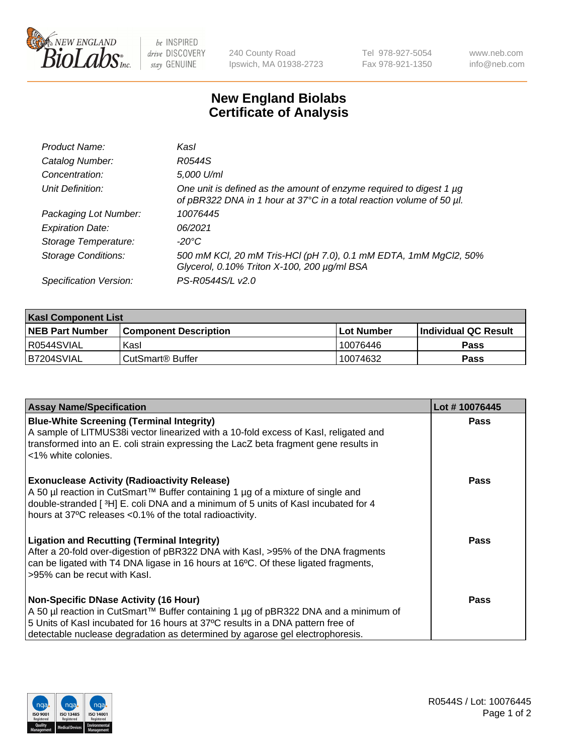

be INSPIRED drive DISCOVERY stay GENUINE

240 County Road Ipswich, MA 01938-2723 Tel 978-927-5054 Fax 978-921-1350 www.neb.com info@neb.com

## **New England Biolabs Certificate of Analysis**

| Product Name:              | Kasl                                                                                                                                             |
|----------------------------|--------------------------------------------------------------------------------------------------------------------------------------------------|
| Catalog Number:            | R0544S                                                                                                                                           |
| Concentration:             | 5,000 U/ml                                                                                                                                       |
| Unit Definition:           | One unit is defined as the amount of enzyme required to digest 1 $\mu$ g<br>of pBR322 DNA in 1 hour at 37°C in a total reaction volume of 50 µl. |
| Packaging Lot Number:      | 10076445                                                                                                                                         |
| <b>Expiration Date:</b>    | 06/2021                                                                                                                                          |
| Storage Temperature:       | -20°C                                                                                                                                            |
| <b>Storage Conditions:</b> | 500 mM KCl, 20 mM Tris-HCl (pH 7.0), 0.1 mM EDTA, 1mM MgCl2, 50%<br>Glycerol, 0.10% Triton X-100, 200 µg/ml BSA                                  |
| Specification Version:     | PS-R0544S/L v2.0                                                                                                                                 |

| <b>Kasl Component List</b> |                              |                   |                             |  |  |
|----------------------------|------------------------------|-------------------|-----------------------------|--|--|
| <b>NEB Part Number</b>     | <b>Component Description</b> | <b>Lot Number</b> | <b>Individual QC Result</b> |  |  |
| I R0544SVIAL               | Kasl                         | 10076446          | <b>Pass</b>                 |  |  |
| B7204SVIAL                 | l CutSmart® Buffer           | 10074632          | Pass                        |  |  |

| <b>Assay Name/Specification</b>                                                                                                                                                                                                                                                                         | Lot #10076445 |
|---------------------------------------------------------------------------------------------------------------------------------------------------------------------------------------------------------------------------------------------------------------------------------------------------------|---------------|
| <b>Blue-White Screening (Terminal Integrity)</b><br>A sample of LITMUS38i vector linearized with a 10-fold excess of Kasl, religated and<br>transformed into an E. coli strain expressing the LacZ beta fragment gene results in<br><1% white colonies.                                                 | <b>Pass</b>   |
| <b>Exonuclease Activity (Radioactivity Release)</b><br>A 50 µl reaction in CutSmart™ Buffer containing 1 µg of a mixture of single and<br>double-stranded [3H] E. coli DNA and a minimum of 5 units of Kasl incubated for 4<br>hours at 37°C releases <0.1% of the total radioactivity.                 | <b>Pass</b>   |
| <b>Ligation and Recutting (Terminal Integrity)</b><br>After a 20-fold over-digestion of pBR322 DNA with Kasl, >95% of the DNA fragments<br>can be ligated with T4 DNA ligase in 16 hours at 16°C. Of these ligated fragments,<br>>95% can be recut with Kasl.                                           | <b>Pass</b>   |
| <b>Non-Specific DNase Activity (16 Hour)</b><br>A 50 µl reaction in CutSmart™ Buffer containing 1 µg of pBR322 DNA and a minimum of<br>5 Units of Kasl incubated for 16 hours at 37°C results in a DNA pattern free of<br>detectable nuclease degradation as determined by agarose gel electrophoresis. | Pass          |